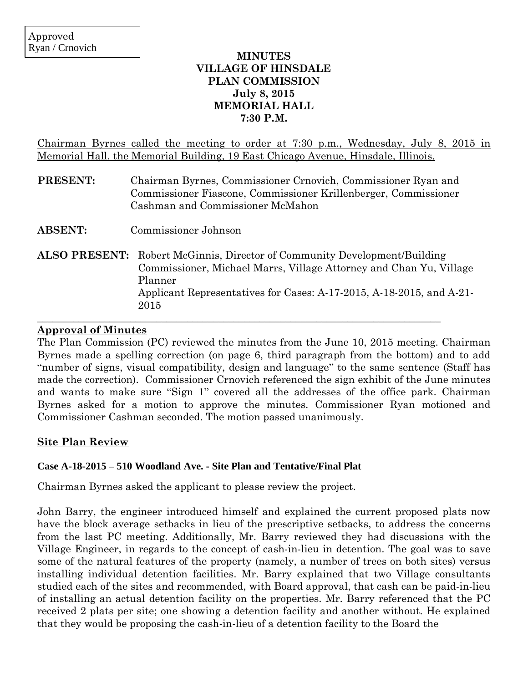## **MINUTES VILLAGE OF HINSDALE PLAN COMMISSION July 8, 2015 MEMORIAL HALL 7:30 P.M.**

Chairman Byrnes called the meeting to order at 7:30 p.m., Wednesday, July 8, 2015 in Memorial Hall, the Memorial Building, 19 East Chicago Avenue, Hinsdale, Illinois.

| <b>PRESENT:</b> | Chairman Byrnes, Commissioner Crnovich, Commissioner Ryan and   |
|-----------------|-----------------------------------------------------------------|
|                 | Commissioner Fiascone, Commissioner Krillenberger, Commissioner |
|                 | Cashman and Commissioner McMahon                                |
|                 |                                                                 |

- **ABSENT:** Commissioner Johnson
- **ALSO PRESENT:** Robert McGinnis, Director of Community Development/Building Commissioner, Michael Marrs, Village Attorney and Chan Yu, Village Planner Applicant Representatives for Cases: A-17-2015, A-18-2015, and A-21- 2015

 $\_$  , and the set of the set of the set of the set of the set of the set of the set of the set of the set of the set of the set of the set of the set of the set of the set of the set of the set of the set of the set of th

## **Approval of Minutes**

The Plan Commission (PC) reviewed the minutes from the June 10, 2015 meeting. Chairman Byrnes made a spelling correction (on page 6, third paragraph from the bottom) and to add "number of signs, visual compatibility, design and language" to the same sentence (Staff has made the correction). Commissioner Crnovich referenced the sign exhibit of the June minutes and wants to make sure "Sign 1" covered all the addresses of the office park. Chairman Byrnes asked for a motion to approve the minutes. Commissioner Ryan motioned and Commissioner Cashman seconded. The motion passed unanimously.

## **Site Plan Review**

#### **Case A-18-2015 – 510 Woodland Ave. - Site Plan and Tentative/Final Plat**

Chairman Byrnes asked the applicant to please review the project.

John Barry, the engineer introduced himself and explained the current proposed plats now have the block average setbacks in lieu of the prescriptive setbacks, to address the concerns from the last PC meeting. Additionally, Mr. Barry reviewed they had discussions with the Village Engineer, in regards to the concept of cash-in-lieu in detention. The goal was to save some of the natural features of the property (namely, a number of trees on both sites) versus installing individual detention facilities. Mr. Barry explained that two Village consultants studied each of the sites and recommended, with Board approval, that cash can be paid-in-lieu of installing an actual detention facility on the properties. Mr. Barry referenced that the PC received 2 plats per site; one showing a detention facility and another without. He explained that they would be proposing the cash-in-lieu of a detention facility to the Board the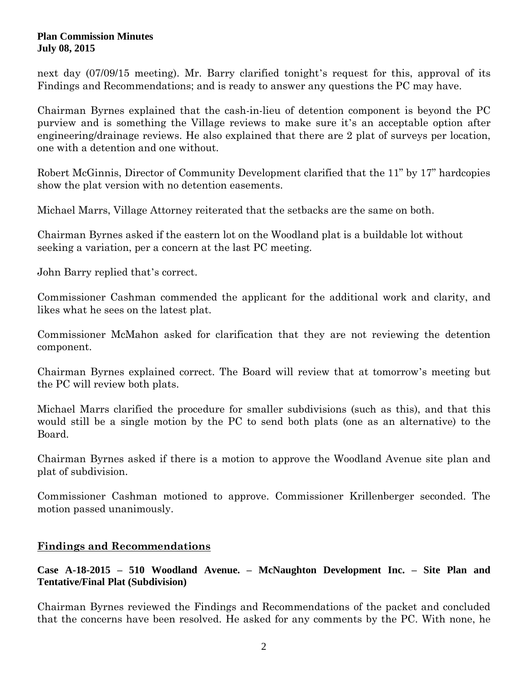#### **Plan Commission Minutes July 08, 2015**

next day (07/09/15 meeting). Mr. Barry clarified tonight's request for this, approval of its Findings and Recommendations; and is ready to answer any questions the PC may have.

Chairman Byrnes explained that the cash-in-lieu of detention component is beyond the PC purview and is something the Village reviews to make sure it's an acceptable option after engineering/drainage reviews. He also explained that there are 2 plat of surveys per location, one with a detention and one without.

Robert McGinnis, Director of Community Development clarified that the 11" by 17" hardcopies show the plat version with no detention easements.

Michael Marrs, Village Attorney reiterated that the setbacks are the same on both.

Chairman Byrnes asked if the eastern lot on the Woodland plat is a buildable lot without seeking a variation, per a concern at the last PC meeting.

John Barry replied that's correct.

Commissioner Cashman commended the applicant for the additional work and clarity, and likes what he sees on the latest plat.

Commissioner McMahon asked for clarification that they are not reviewing the detention component.

Chairman Byrnes explained correct. The Board will review that at tomorrow's meeting but the PC will review both plats.

Michael Marrs clarified the procedure for smaller subdivisions (such as this), and that this would still be a single motion by the PC to send both plats (one as an alternative) to the Board.

Chairman Byrnes asked if there is a motion to approve the Woodland Avenue site plan and plat of subdivision.

Commissioner Cashman motioned to approve. Commissioner Krillenberger seconded. The motion passed unanimously.

# **Findings and Recommendations**

## **Case A-18-2015 – 510 Woodland Avenue. – McNaughton Development Inc. – Site Plan and Tentative/Final Plat (Subdivision)**

Chairman Byrnes reviewed the Findings and Recommendations of the packet and concluded that the concerns have been resolved. He asked for any comments by the PC. With none, he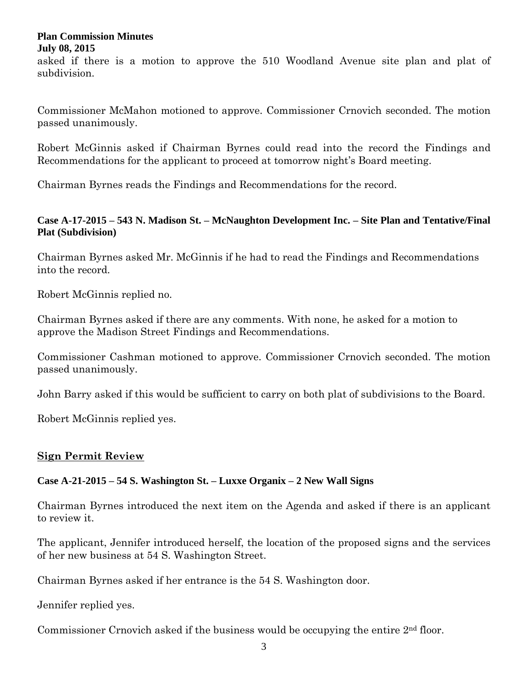#### **Plan Commission Minutes July 08, 2015**

asked if there is a motion to approve the 510 Woodland Avenue site plan and plat of subdivision.

Commissioner McMahon motioned to approve. Commissioner Crnovich seconded. The motion passed unanimously.

Robert McGinnis asked if Chairman Byrnes could read into the record the Findings and Recommendations for the applicant to proceed at tomorrow night's Board meeting.

Chairman Byrnes reads the Findings and Recommendations for the record.

## **Case A-17-2015 – 543 N. Madison St. – McNaughton Development Inc. – Site Plan and Tentative/Final Plat (Subdivision)**

Chairman Byrnes asked Mr. McGinnis if he had to read the Findings and Recommendations into the record.

Robert McGinnis replied no.

Chairman Byrnes asked if there are any comments. With none, he asked for a motion to approve the Madison Street Findings and Recommendations.

Commissioner Cashman motioned to approve. Commissioner Crnovich seconded. The motion passed unanimously.

John Barry asked if this would be sufficient to carry on both plat of subdivisions to the Board.

Robert McGinnis replied yes.

# **Sign Permit Review**

## **Case A-21-2015 – 54 S. Washington St. – Luxxe Organix – 2 New Wall Signs**

Chairman Byrnes introduced the next item on the Agenda and asked if there is an applicant to review it.

The applicant, Jennifer introduced herself, the location of the proposed signs and the services of her new business at 54 S. Washington Street.

Chairman Byrnes asked if her entrance is the 54 S. Washington door.

Jennifer replied yes.

Commissioner Crnovich asked if the business would be occupying the entire 2nd floor.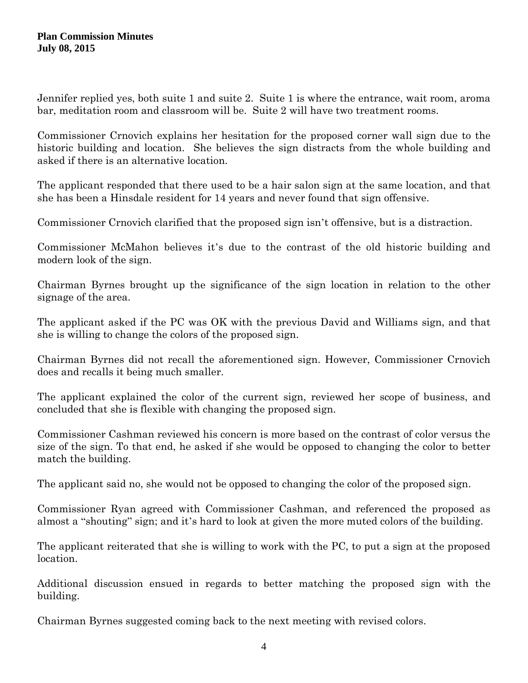Jennifer replied yes, both suite 1 and suite 2. Suite 1 is where the entrance, wait room, aroma bar, meditation room and classroom will be. Suite 2 will have two treatment rooms.

Commissioner Crnovich explains her hesitation for the proposed corner wall sign due to the historic building and location. She believes the sign distracts from the whole building and asked if there is an alternative location.

The applicant responded that there used to be a hair salon sign at the same location, and that she has been a Hinsdale resident for 14 years and never found that sign offensive.

Commissioner Crnovich clarified that the proposed sign isn't offensive, but is a distraction.

Commissioner McMahon believes it's due to the contrast of the old historic building and modern look of the sign.

Chairman Byrnes brought up the significance of the sign location in relation to the other signage of the area.

The applicant asked if the PC was OK with the previous David and Williams sign, and that she is willing to change the colors of the proposed sign.

Chairman Byrnes did not recall the aforementioned sign. However, Commissioner Crnovich does and recalls it being much smaller.

The applicant explained the color of the current sign, reviewed her scope of business, and concluded that she is flexible with changing the proposed sign.

Commissioner Cashman reviewed his concern is more based on the contrast of color versus the size of the sign. To that end, he asked if she would be opposed to changing the color to better match the building.

The applicant said no, she would not be opposed to changing the color of the proposed sign.

Commissioner Ryan agreed with Commissioner Cashman, and referenced the proposed as almost a "shouting" sign; and it's hard to look at given the more muted colors of the building.

The applicant reiterated that she is willing to work with the PC, to put a sign at the proposed location.

Additional discussion ensued in regards to better matching the proposed sign with the building.

Chairman Byrnes suggested coming back to the next meeting with revised colors.